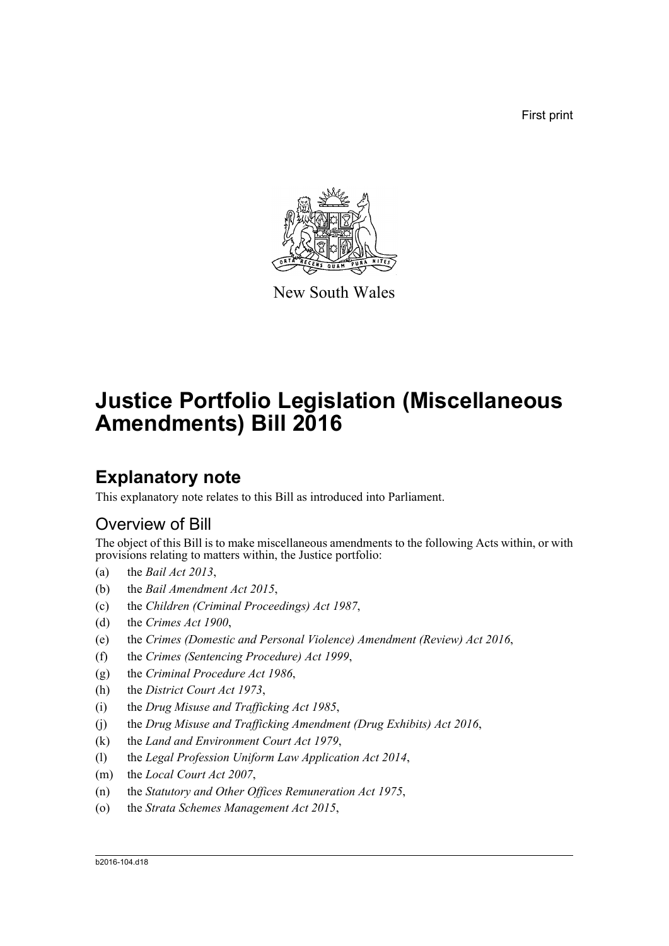First print



New South Wales

# **Justice Portfolio Legislation (Miscellaneous Amendments) Bill 2016**

## **Explanatory note**

This explanatory note relates to this Bill as introduced into Parliament.

## Overview of Bill

The object of this Bill is to make miscellaneous amendments to the following Acts within, or with provisions relating to matters within, the Justice portfolio:

- (a) the *Bail Act 2013*,
- (b) the *Bail Amendment Act 2015*,
- (c) the *Children (Criminal Proceedings) Act 1987*,
- (d) the *Crimes Act 1900*,
- (e) the *Crimes (Domestic and Personal Violence) Amendment (Review) Act 2016*,
- (f) the *Crimes (Sentencing Procedure) Act 1999*,
- (g) the *Criminal Procedure Act 1986*,
- (h) the *District Court Act 1973*,
- (i) the *Drug Misuse and Trafficking Act 1985*,
- (j) the *Drug Misuse and Trafficking Amendment (Drug Exhibits) Act 2016*,
- (k) the *Land and Environment Court Act 1979*,
- (l) the *Legal Profession Uniform Law Application Act 2014*,
- (m) the *Local Court Act 2007*,
- (n) the *Statutory and Other Offices Remuneration Act 1975*,
- (o) the *Strata Schemes Management Act 2015*,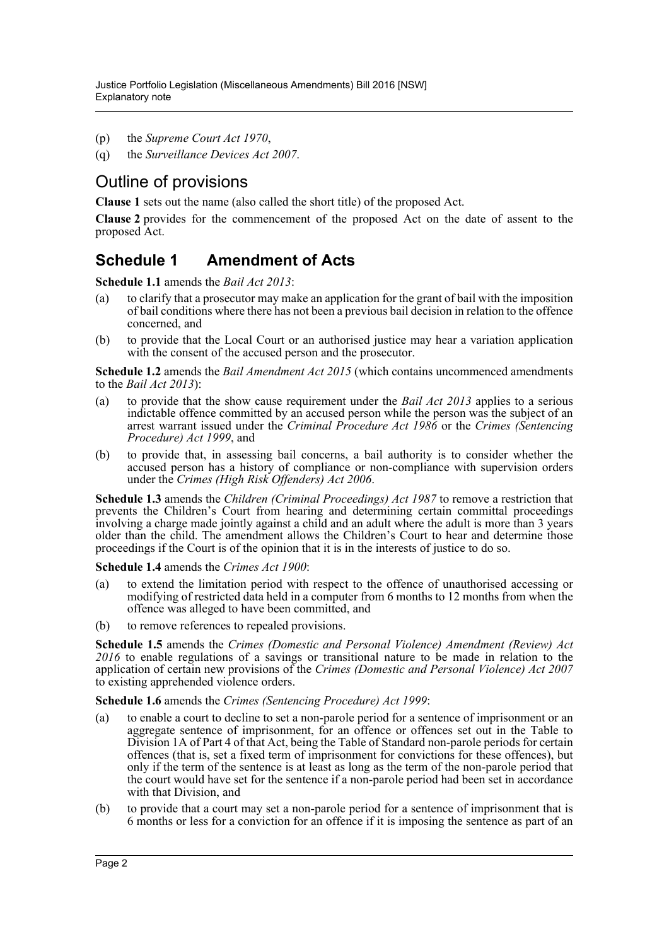- (p) the *Supreme Court Act 1970*,
- (q) the *Surveillance Devices Act 2007*.

## Outline of provisions

**Clause 1** sets out the name (also called the short title) of the proposed Act.

**Clause 2** provides for the commencement of the proposed Act on the date of assent to the proposed Act.

## **Schedule 1 Amendment of Acts**

**Schedule 1.1** amends the *Bail Act 2013*:

- (a) to clarify that a prosecutor may make an application for the grant of bail with the imposition of bail conditions where there has not been a previous bail decision in relation to the offence concerned, and
- (b) to provide that the Local Court or an authorised justice may hear a variation application with the consent of the accused person and the prosecutor.

**Schedule 1.2** amends the *Bail Amendment Act 2015* (which contains uncommenced amendments to the *Bail Act 2013*):

- (a) to provide that the show cause requirement under the *Bail Act 2013* applies to a serious indictable offence committed by an accused person while the person was the subject of an arrest warrant issued under the *Criminal Procedure Act 1986* or the *Crimes (Sentencing Procedure) Act 1999*, and
- (b) to provide that, in assessing bail concerns, a bail authority is to consider whether the accused person has a history of compliance or non-compliance with supervision orders under the *Crimes (High Risk Offenders) Act 2006*.

**Schedule 1.3** amends the *Children (Criminal Proceedings) Act 1987* to remove a restriction that prevents the Children's Court from hearing and determining certain committal proceedings involving a charge made jointly against a child and an adult where the adult is more than 3 years older than the child. The amendment allows the Children's Court to hear and determine those proceedings if the Court is of the opinion that it is in the interests of justice to do so.

**Schedule 1.4** amends the *Crimes Act 1900*:

- (a) to extend the limitation period with respect to the offence of unauthorised accessing or modifying of restricted data held in a computer from 6 months to 12 months from when the offence was alleged to have been committed, and
- (b) to remove references to repealed provisions.

**Schedule 1.5** amends the *Crimes (Domestic and Personal Violence) Amendment (Review) Act 2016* to enable regulations of a savings or transitional nature to be made in relation to the application of certain new provisions of the *Crimes (Domestic and Personal Violence) Act 2007* to existing apprehended violence orders.

**Schedule 1.6** amends the *Crimes (Sentencing Procedure) Act 1999*:

- (a) to enable a court to decline to set a non-parole period for a sentence of imprisonment or an aggregate sentence of imprisonment, for an offence or offences set out in the Table to Division 1A of Part 4 of that Act, being the Table of Standard non-parole periods for certain offences (that is, set a fixed term of imprisonment for convictions for these offences), but only if the term of the sentence is at least as long as the term of the non-parole period that the court would have set for the sentence if a non-parole period had been set in accordance with that Division, and
- (b) to provide that a court may set a non-parole period for a sentence of imprisonment that is 6 months or less for a conviction for an offence if it is imposing the sentence as part of an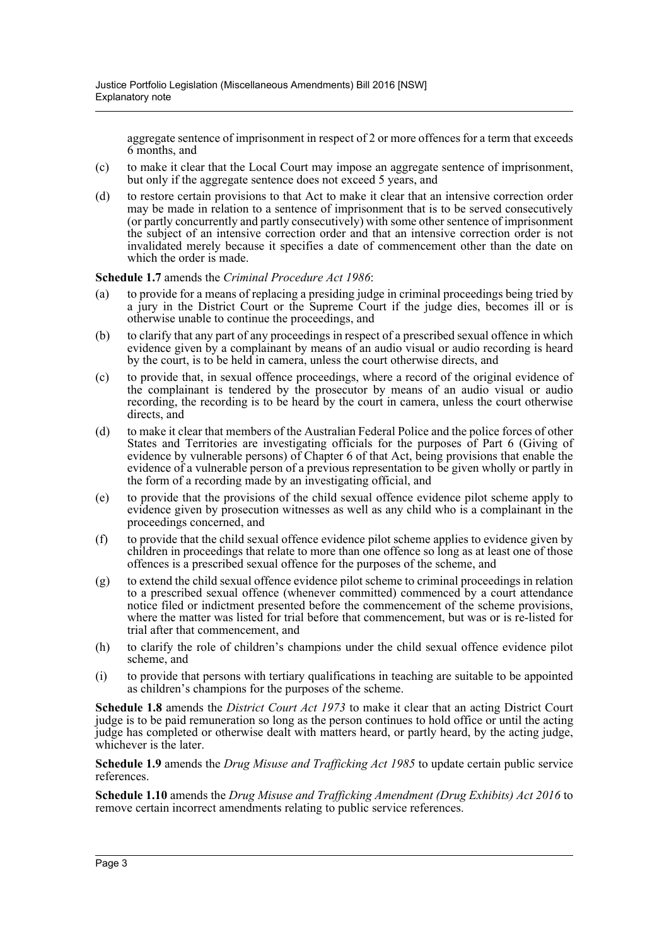aggregate sentence of imprisonment in respect of 2 or more offences for a term that exceeds 6 months, and

- (c) to make it clear that the Local Court may impose an aggregate sentence of imprisonment, but only if the aggregate sentence does not exceed 5 years, and
- (d) to restore certain provisions to that Act to make it clear that an intensive correction order may be made in relation to a sentence of imprisonment that is to be served consecutively (or partly concurrently and partly consecutively) with some other sentence of imprisonment the subject of an intensive correction order and that an intensive correction order is not invalidated merely because it specifies a date of commencement other than the date on which the order is made.

#### **Schedule 1.7** amends the *Criminal Procedure Act 1986*:

- (a) to provide for a means of replacing a presiding judge in criminal proceedings being tried by a jury in the District Court or the Supreme Court if the judge dies, becomes ill or is otherwise unable to continue the proceedings, and
- (b) to clarify that any part of any proceedings in respect of a prescribed sexual offence in which evidence given by a complainant by means of an audio visual or audio recording is heard by the court, is to be held in camera, unless the court otherwise directs, and
- (c) to provide that, in sexual offence proceedings, where a record of the original evidence of the complainant is tendered by the prosecutor by means of an audio visual or audio recording, the recording is to be heard by the court in camera, unless the court otherwise directs, and
- (d) to make it clear that members of the Australian Federal Police and the police forces of other States and Territories are investigating officials for the purposes of Part 6 (Giving of evidence by vulnerable persons) of Chapter 6 of that Act, being provisions that enable the evidence of a vulnerable person of a previous representation to be given wholly or partly in the form of a recording made by an investigating official, and
- (e) to provide that the provisions of the child sexual offence evidence pilot scheme apply to evidence given by prosecution witnesses as well as any child who is a complainant in the proceedings concerned, and
- (f) to provide that the child sexual offence evidence pilot scheme applies to evidence given by children in proceedings that relate to more than one offence so long as at least one of those offences is a prescribed sexual offence for the purposes of the scheme, and
- (g) to extend the child sexual offence evidence pilot scheme to criminal proceedings in relation to a prescribed sexual offence (whenever committed) commenced by a court attendance notice filed or indictment presented before the commencement of the scheme provisions, where the matter was listed for trial before that commencement, but was or is re-listed for trial after that commencement, and
- (h) to clarify the role of children's champions under the child sexual offence evidence pilot scheme, and
- (i) to provide that persons with tertiary qualifications in teaching are suitable to be appointed as children's champions for the purposes of the scheme.

**Schedule 1.8** amends the *District Court Act 1973* to make it clear that an acting District Court judge is to be paid remuneration so long as the person continues to hold office or until the acting judge has completed or otherwise dealt with matters heard, or partly heard, by the acting judge, whichever is the later.

**Schedule 1.9** amends the *Drug Misuse and Trafficking Act 1985* to update certain public service references.

**Schedule 1.10** amends the *Drug Misuse and Trafficking Amendment (Drug Exhibits) Act 2016* to remove certain incorrect amendments relating to public service references.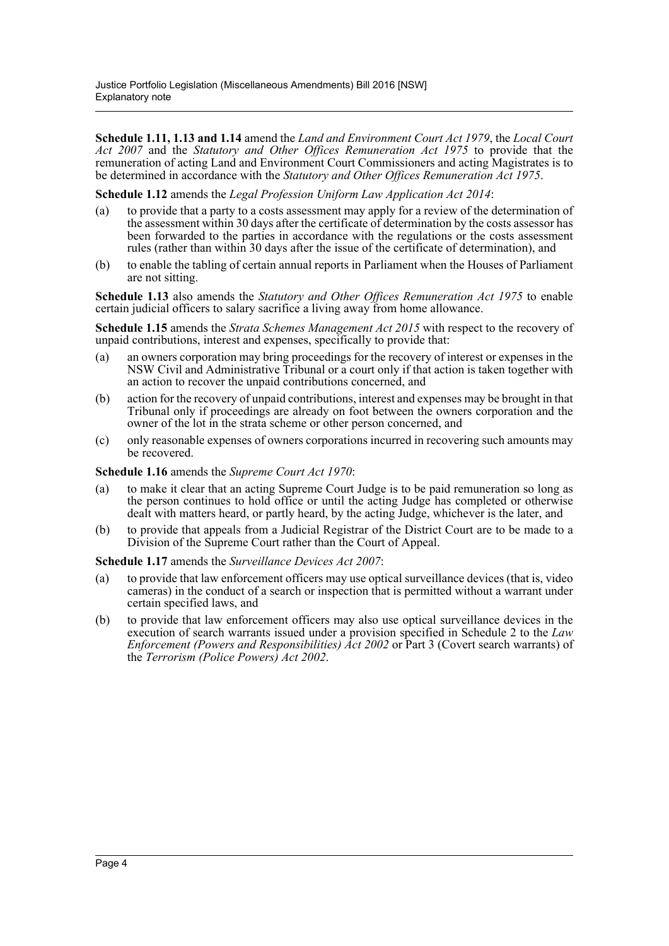**Schedule 1.11, 1.13 and 1.14** amend the *Land and Environment Court Act 1979*, the *Local Court Act 2007* and the *Statutory and Other Offices Remuneration Act 1975* to provide that the remuneration of acting Land and Environment Court Commissioners and acting Magistrates is to be determined in accordance with the *Statutory and Other Offices Remuneration Act 1975*.

**Schedule 1.12** amends the *Legal Profession Uniform Law Application Act 2014*:

- (a) to provide that a party to a costs assessment may apply for a review of the determination of the assessment within 30 days after the certificate of determination by the costs assessor has been forwarded to the parties in accordance with the regulations or the costs assessment rules (rather than within 30 days after the issue of the certificate of determination), and
- (b) to enable the tabling of certain annual reports in Parliament when the Houses of Parliament are not sitting.

**Schedule 1.13** also amends the *Statutory and Other Offices Remuneration Act 1975* to enable certain judicial officers to salary sacrifice a living away from home allowance.

**Schedule 1.15** amends the *Strata Schemes Management Act 2015* with respect to the recovery of unpaid contributions, interest and expenses, specifically to provide that:

- (a) an owners corporation may bring proceedings for the recovery of interest or expenses in the NSW Civil and Administrative Tribunal or a court only if that action is taken together with an action to recover the unpaid contributions concerned, and
- (b) action for the recovery of unpaid contributions, interest and expenses may be brought in that Tribunal only if proceedings are already on foot between the owners corporation and the owner of the lot in the strata scheme or other person concerned, and
- (c) only reasonable expenses of owners corporations incurred in recovering such amounts may be recovered.

**Schedule 1.16** amends the *Supreme Court Act 1970*:

- (a) to make it clear that an acting Supreme Court Judge is to be paid remuneration so long as the person continues to hold office or until the acting Judge has completed or otherwise dealt with matters heard, or partly heard, by the acting Judge, whichever is the later, and
- (b) to provide that appeals from a Judicial Registrar of the District Court are to be made to a Division of the Supreme Court rather than the Court of Appeal.

**Schedule 1.17** amends the *Surveillance Devices Act 2007*:

- (a) to provide that law enforcement officers may use optical surveillance devices (that is, video cameras) in the conduct of a search or inspection that is permitted without a warrant under certain specified laws, and
- (b) to provide that law enforcement officers may also use optical surveillance devices in the execution of search warrants issued under a provision specified in Schedule 2 to the *Law Enforcement (Powers and Responsibilities) Act 2002* or Part 3 (Covert search warrants) of the *Terrorism (Police Powers) Act 2002*.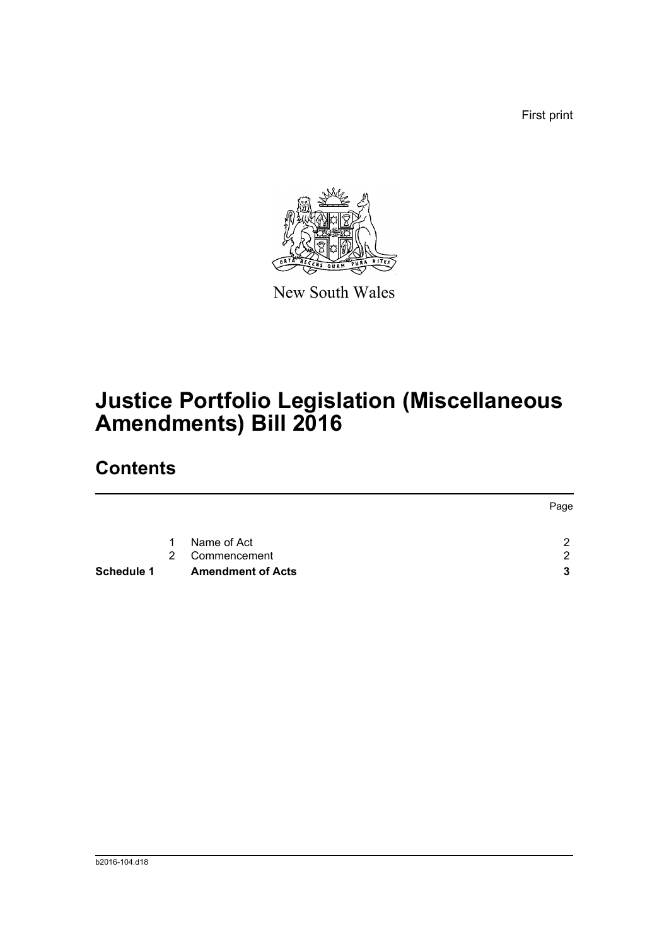First print



New South Wales

# **Justice Portfolio Legislation (Miscellaneous Amendments) Bill 2016**

## **Contents**

|            |   |                          | Page                 |
|------------|---|--------------------------|----------------------|
|            | 1 | Name of Act              | $\mathcal{P} \equiv$ |
|            | 2 | Commencement             | $\mathcal{D}$        |
| Schedule 1 |   | <b>Amendment of Acts</b> | 3                    |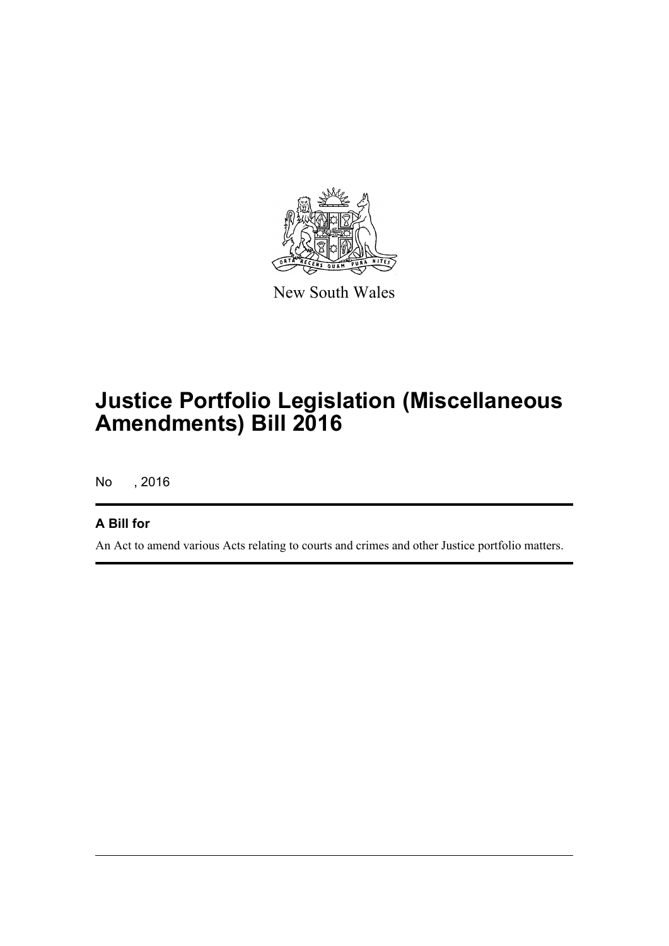

New South Wales

# **Justice Portfolio Legislation (Miscellaneous Amendments) Bill 2016**

No , 2016

## **A Bill for**

An Act to amend various Acts relating to courts and crimes and other Justice portfolio matters.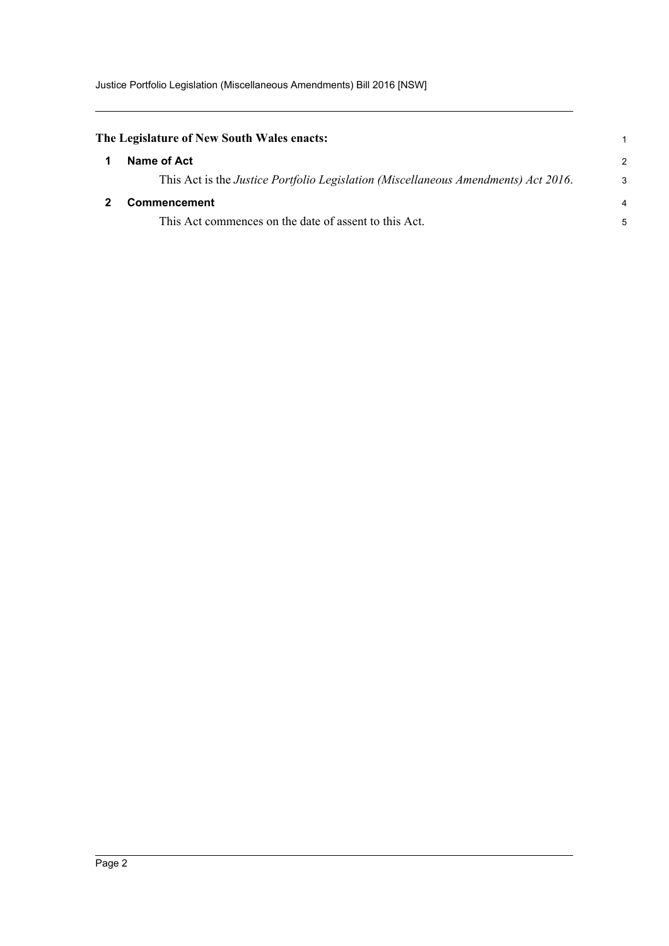<span id="page-6-1"></span><span id="page-6-0"></span>

| The Legislature of New South Wales enacts:                                         |                |
|------------------------------------------------------------------------------------|----------------|
| Name of Act                                                                        | $\mathcal{P}$  |
| This Act is the Justice Portfolio Legislation (Miscellaneous Amendments) Act 2016. | 3              |
| <b>Commencement</b>                                                                | $\overline{4}$ |
| This Act commences on the date of assent to this Act.                              | 5              |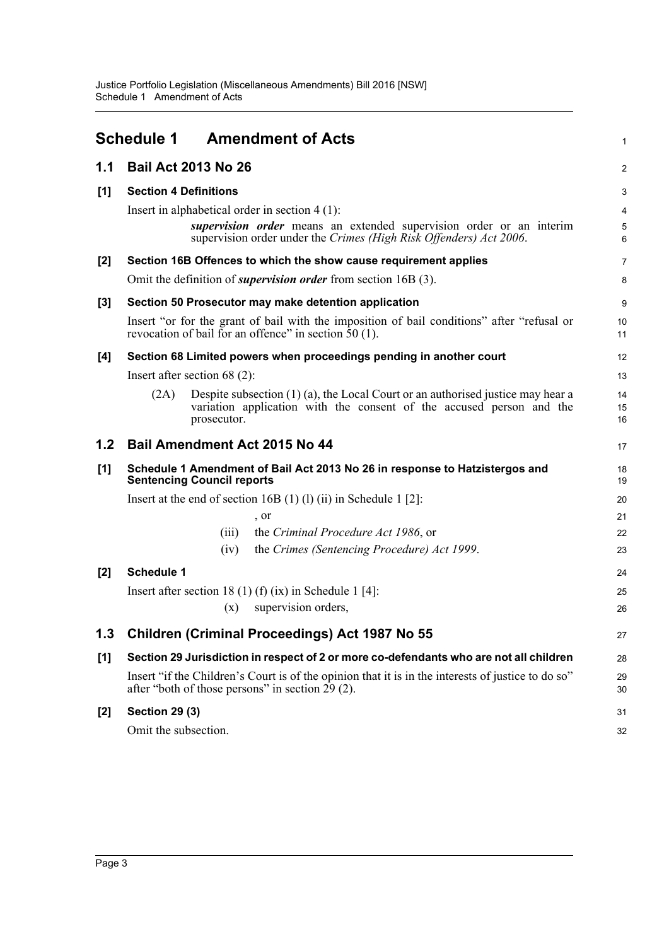<span id="page-7-0"></span>

|       | <b>Schedule 1</b><br><b>Amendment of Acts</b>                                                                                                                                                 | $\mathbf{1}$                                                |
|-------|-----------------------------------------------------------------------------------------------------------------------------------------------------------------------------------------------|-------------------------------------------------------------|
| 1.1   | <b>Bail Act 2013 No 26</b>                                                                                                                                                                    | $\overline{2}$                                              |
| [1]   | <b>Section 4 Definitions</b>                                                                                                                                                                  | 3                                                           |
|       | Insert in alphabetical order in section $4(1)$ :<br>supervision order means an extended supervision order or an interim<br>supervision order under the Crimes (High Risk Offenders) Act 2006. | $\overline{\mathbf{4}}$<br>$\overline{5}$<br>$6\phantom{1}$ |
| $[2]$ | Section 16B Offences to which the show cause requirement applies                                                                                                                              | 7                                                           |
|       | Omit the definition of <i>supervision order</i> from section 16B (3).                                                                                                                         | 8                                                           |
| $[3]$ | Section 50 Prosecutor may make detention application                                                                                                                                          | 9                                                           |
|       | Insert "or for the grant of bail with the imposition of bail conditions" after "refusal or<br>revocation of bail for an offence" in section $\bar{5}0$ (1).                                   | 10<br>11                                                    |
| [4]   | Section 68 Limited powers when proceedings pending in another court                                                                                                                           | 12                                                          |
|       | Insert after section $68(2)$ :                                                                                                                                                                | 13                                                          |
|       | Despite subsection $(1)$ $(a)$ , the Local Court or an authorised justice may hear a<br>(2A)<br>variation application with the consent of the accused person and the<br>prosecutor.           | 14<br>15<br>16                                              |
| 1.2   | Bail Amendment Act 2015 No 44                                                                                                                                                                 | 17                                                          |
| [1]   | Schedule 1 Amendment of Bail Act 2013 No 26 in response to Hatzistergos and<br><b>Sentencing Council reports</b>                                                                              | 18<br>19                                                    |
|       | Insert at the end of section 16B $(1)$ $(1)$ $(ii)$ in Schedule 1 $[2]$ :                                                                                                                     | 20                                                          |
|       | , or                                                                                                                                                                                          | 21                                                          |
|       | the Criminal Procedure Act 1986, or<br>(iii)                                                                                                                                                  | 22                                                          |
|       | the Crimes (Sentencing Procedure) Act 1999.<br>(iv)                                                                                                                                           | 23                                                          |
| [2]   | <b>Schedule 1</b>                                                                                                                                                                             | 24                                                          |
|       | Insert after section 18 (1) (f) (ix) in Schedule 1 [4]:                                                                                                                                       | 25                                                          |
|       | supervision orders,<br>(x)                                                                                                                                                                    | 26                                                          |
|       | <b>Children (Criminal Proceedings) Act 1987 No 55</b>                                                                                                                                         | 27                                                          |
| [1]   | Section 29 Jurisdiction in respect of 2 or more co-defendants who are not all children                                                                                                        | 28                                                          |
|       | Insert "if the Children's Court is of the opinion that it is in the interests of justice to do so"<br>after "both of those persons" in section $29(2)$ .                                      | 29<br>30                                                    |
| $[2]$ | <b>Section 29 (3)</b>                                                                                                                                                                         | 31                                                          |
|       | Omit the subsection.                                                                                                                                                                          | 32                                                          |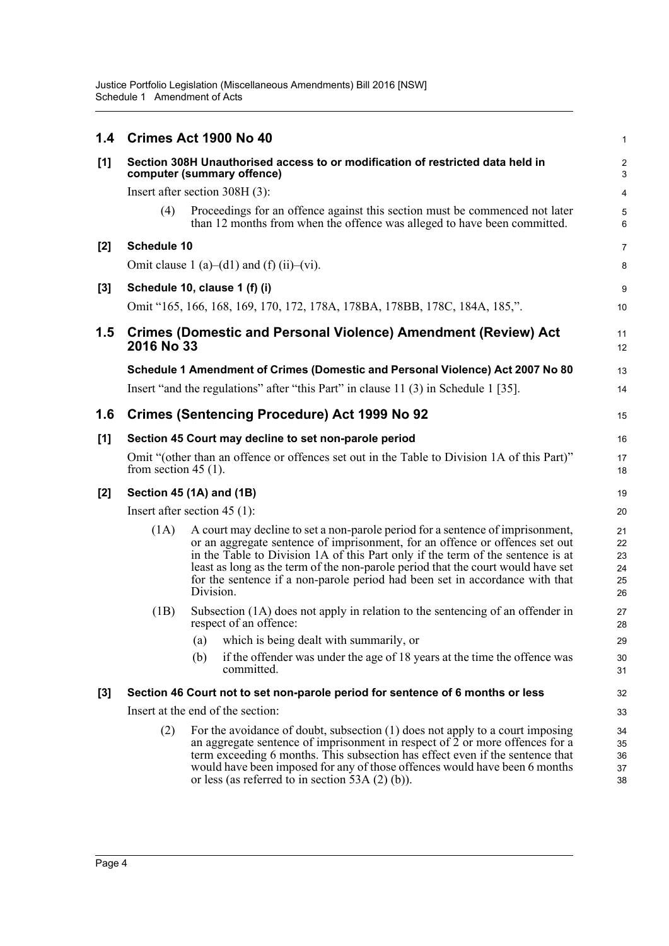| 1.4   |                         | Crimes Act 1900 No 40                                                                                                                                                                                                                                                                                                                                                                                                              | $\mathbf{1}$                     |
|-------|-------------------------|------------------------------------------------------------------------------------------------------------------------------------------------------------------------------------------------------------------------------------------------------------------------------------------------------------------------------------------------------------------------------------------------------------------------------------|----------------------------------|
| [1]   |                         | Section 308H Unauthorised access to or modification of restricted data held in<br>computer (summary offence)                                                                                                                                                                                                                                                                                                                       | $\overline{\mathbf{c}}$<br>3     |
|       |                         | Insert after section 308H (3):                                                                                                                                                                                                                                                                                                                                                                                                     | $\overline{4}$                   |
|       | (4)                     | Proceedings for an offence against this section must be commenced not later<br>than 12 months from when the offence was alleged to have been committed.                                                                                                                                                                                                                                                                            | $\mathbf 5$<br>6                 |
| $[2]$ | <b>Schedule 10</b>      |                                                                                                                                                                                                                                                                                                                                                                                                                                    | $\overline{7}$                   |
|       |                         | Omit clause 1 (a)–(d1) and (f) (ii)–(vi).                                                                                                                                                                                                                                                                                                                                                                                          | 8                                |
| $[3]$ |                         | Schedule 10, clause 1 (f) (i)                                                                                                                                                                                                                                                                                                                                                                                                      | $\boldsymbol{9}$                 |
|       |                         | Omit "165, 166, 168, 169, 170, 172, 178A, 178BA, 178BB, 178C, 184A, 185,".                                                                                                                                                                                                                                                                                                                                                         | 10                               |
| 1.5   | 2016 No 33              | <b>Crimes (Domestic and Personal Violence) Amendment (Review) Act</b>                                                                                                                                                                                                                                                                                                                                                              | 11<br>12                         |
|       |                         | Schedule 1 Amendment of Crimes (Domestic and Personal Violence) Act 2007 No 80                                                                                                                                                                                                                                                                                                                                                     | 13                               |
|       |                         | Insert "and the regulations" after "this Part" in clause 11 (3) in Schedule 1 [35].                                                                                                                                                                                                                                                                                                                                                | 14                               |
| 1.6   |                         | <b>Crimes (Sentencing Procedure) Act 1999 No 92</b>                                                                                                                                                                                                                                                                                                                                                                                | 15                               |
| [1]   |                         | Section 45 Court may decline to set non-parole period                                                                                                                                                                                                                                                                                                                                                                              | 16                               |
|       | from section 45 $(1)$ . | Omit "(other than an offence or offences set out in the Table to Division 1A of this Part)"                                                                                                                                                                                                                                                                                                                                        | 17<br>18                         |
| $[2]$ |                         | Section 45 (1A) and (1B)                                                                                                                                                                                                                                                                                                                                                                                                           | 19                               |
|       |                         | Insert after section 45 $(1)$ :                                                                                                                                                                                                                                                                                                                                                                                                    | 20                               |
|       | (1A)                    | A court may decline to set a non-parole period for a sentence of imprisonment,<br>or an aggregate sentence of imprisonment, for an offence or offences set out<br>in the Table to Division 1A of this Part only if the term of the sentence is at<br>least as long as the term of the non-parole period that the court would have set<br>for the sentence if a non-parole period had been set in accordance with that<br>Division. | 21<br>22<br>23<br>24<br>25<br>26 |
|       | (1B)                    | Subsection (1A) does not apply in relation to the sentencing of an offender in<br>respect of an offence:                                                                                                                                                                                                                                                                                                                           | 27<br>28                         |
|       |                         | which is being dealt with summarily, or<br>(a)                                                                                                                                                                                                                                                                                                                                                                                     | 29                               |
|       |                         | if the offender was under the age of 18 years at the time the offence was<br>(b)<br>committed.                                                                                                                                                                                                                                                                                                                                     | 30<br>31                         |
| $[3]$ |                         | Section 46 Court not to set non-parole period for sentence of 6 months or less                                                                                                                                                                                                                                                                                                                                                     | 32                               |
|       |                         | Insert at the end of the section:                                                                                                                                                                                                                                                                                                                                                                                                  | 33                               |
|       | (2)                     | For the avoidance of doubt, subsection (1) does not apply to a court imposing<br>an aggregate sentence of imprisonment in respect of $\overline{2}$ or more offences for a<br>term exceeding 6 months. This subsection has effect even if the sentence that<br>would have been imposed for any of those offences would have been 6 months<br>or less (as referred to in section 53A $(2)$ (b)).                                    | 34<br>35<br>36<br>37<br>38       |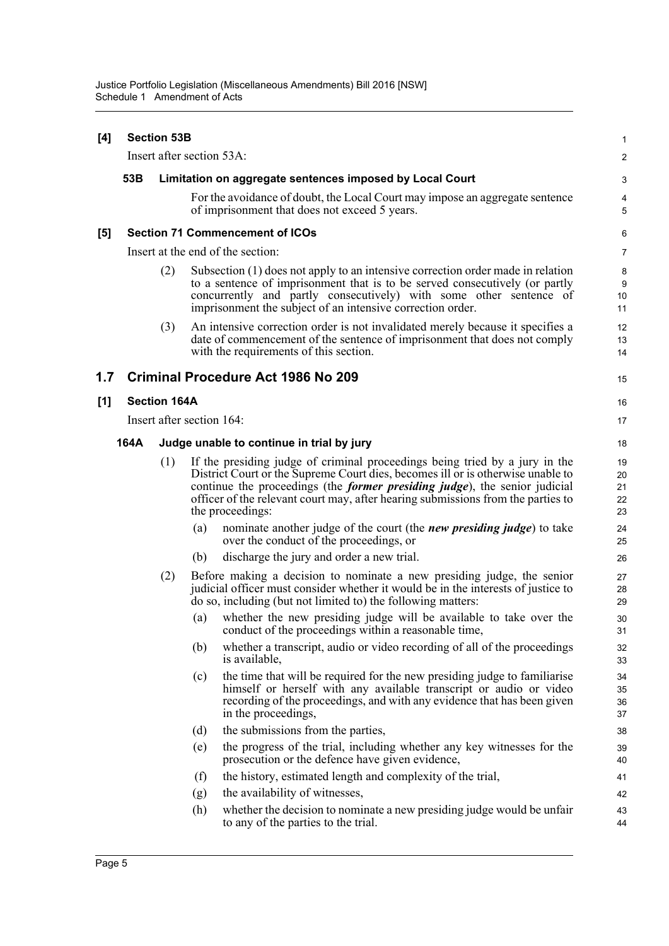| [4] |      | <b>Section 53B</b>        |     |                                                                                                                                                                                                                                                                                                                                                              | 1                          |
|-----|------|---------------------------|-----|--------------------------------------------------------------------------------------------------------------------------------------------------------------------------------------------------------------------------------------------------------------------------------------------------------------------------------------------------------------|----------------------------|
|     |      | Insert after section 53A: |     |                                                                                                                                                                                                                                                                                                                                                              | 2                          |
|     | 53B  |                           |     | Limitation on aggregate sentences imposed by Local Court                                                                                                                                                                                                                                                                                                     | 3                          |
|     |      |                           |     | For the avoidance of doubt, the Local Court may impose an aggregate sentence<br>of imprisonment that does not exceed 5 years.                                                                                                                                                                                                                                | 4<br>5                     |
| [5] |      |                           |     | <b>Section 71 Commencement of ICOs</b>                                                                                                                                                                                                                                                                                                                       | 6                          |
|     |      |                           |     | Insert at the end of the section:                                                                                                                                                                                                                                                                                                                            | $\overline{7}$             |
|     |      | (2)                       |     | Subsection (1) does not apply to an intensive correction order made in relation<br>to a sentence of imprisonment that is to be served consecutively (or partly<br>concurrently and partly consecutively) with some other sentence of<br>imprisonment the subject of an intensive correction order.                                                           | 8<br>9<br>10<br>11         |
|     |      | (3)                       |     | An intensive correction order is not invalidated merely because it specifies a<br>date of commencement of the sentence of imprisonment that does not comply<br>with the requirements of this section.                                                                                                                                                        | 12<br>13<br>14             |
| 1.7 |      |                           |     | <b>Criminal Procedure Act 1986 No 209</b>                                                                                                                                                                                                                                                                                                                    | 15                         |
| [1] |      | <b>Section 164A</b>       |     |                                                                                                                                                                                                                                                                                                                                                              | 16                         |
|     |      | Insert after section 164: |     |                                                                                                                                                                                                                                                                                                                                                              | 17                         |
|     | 164A |                           |     | Judge unable to continue in trial by jury                                                                                                                                                                                                                                                                                                                    | 18                         |
|     |      | (1)                       |     | If the presiding judge of criminal proceedings being tried by a jury in the<br>District Court or the Supreme Court dies, becomes ill or is otherwise unable to<br>continue the proceedings (the <i>former presiding judge</i> ), the senior judicial<br>officer of the relevant court may, after hearing submissions from the parties to<br>the proceedings: | 19<br>20<br>21<br>22<br>23 |
|     |      |                           | (a) | nominate another judge of the court (the <i>new presiding judge</i> ) to take<br>over the conduct of the proceedings, or                                                                                                                                                                                                                                     | 24<br>25                   |
|     |      |                           | (b) | discharge the jury and order a new trial.                                                                                                                                                                                                                                                                                                                    | 26                         |
|     |      | (2)                       |     | Before making a decision to nominate a new presiding judge, the senior<br>judicial officer must consider whether it would be in the interests of justice to<br>do so, including (but not limited to) the following matters:                                                                                                                                  | 27<br>28<br>29             |
|     |      |                           | (a) | whether the new presiding judge will be available to take over the<br>conduct of the proceedings within a reasonable time,                                                                                                                                                                                                                                   | 30<br>31                   |
|     |      |                           | (b) | whether a transcript, audio or video recording of all of the proceedings<br>is available,                                                                                                                                                                                                                                                                    | 32<br>33                   |
|     |      |                           | (c) | the time that will be required for the new presiding judge to familiarise<br>himself or herself with any available transcript or audio or video<br>recording of the proceedings, and with any evidence that has been given<br>in the proceedings,                                                                                                            | 34<br>35<br>36<br>37       |
|     |      |                           | (d) | the submissions from the parties,                                                                                                                                                                                                                                                                                                                            | 38                         |
|     |      |                           | (e) | the progress of the trial, including whether any key witnesses for the<br>prosecution or the defence have given evidence,                                                                                                                                                                                                                                    | 39<br>40                   |
|     |      |                           | (f) | the history, estimated length and complexity of the trial,                                                                                                                                                                                                                                                                                                   | 41                         |
|     |      |                           | (g) | the availability of witnesses,                                                                                                                                                                                                                                                                                                                               | 42                         |
|     |      |                           | (h) | whether the decision to nominate a new presiding judge would be unfair<br>to any of the parties to the trial.                                                                                                                                                                                                                                                | 43<br>44                   |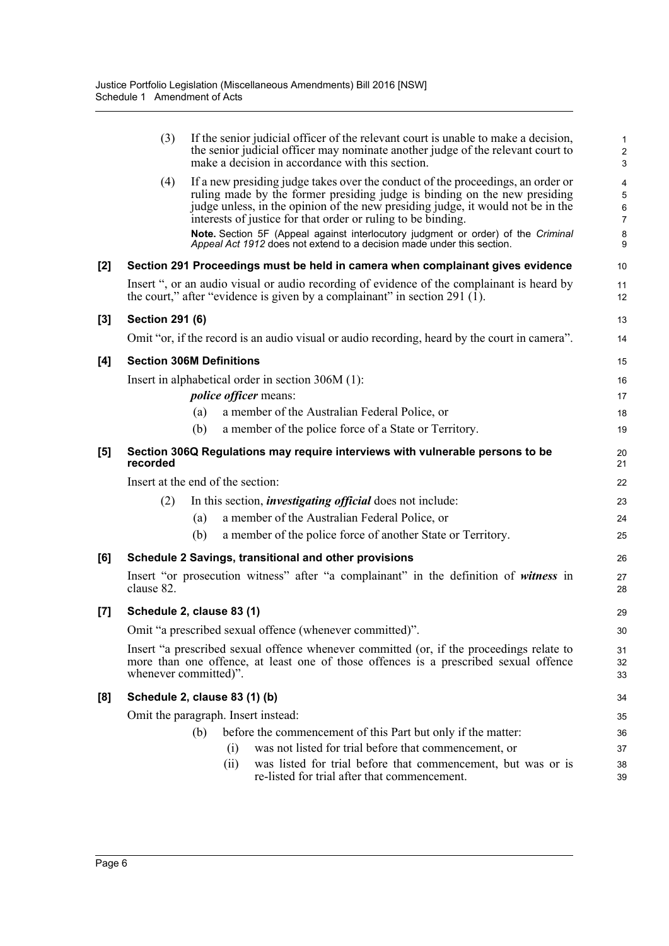|                     | (3)                    |                                     | If the senior judicial officer of the relevant court is unable to make a decision,<br>the senior judicial officer may nominate another judge of the relevant court to<br>make a decision in accordance with this section.                                                                                                                                                                                                                                                      | $\mathbf{1}$<br>$\sqrt{2}$<br>3                                  |
|---------------------|------------------------|-------------------------------------|--------------------------------------------------------------------------------------------------------------------------------------------------------------------------------------------------------------------------------------------------------------------------------------------------------------------------------------------------------------------------------------------------------------------------------------------------------------------------------|------------------------------------------------------------------|
|                     | (4)                    |                                     | If a new presiding judge takes over the conduct of the proceedings, an order or<br>ruling made by the former presiding judge is binding on the new presiding<br>judge unless, in the opinion of the new presiding judge, it would not be in the<br>interests of justice for that order or ruling to be binding.<br>Note. Section 5F (Appeal against interlocutory judgment or order) of the Criminal<br>Appeal Act 1912 does not extend to a decision made under this section. | 4<br>$\overline{5}$<br>$\,6\,$<br>$\overline{7}$<br>$\bf 8$<br>9 |
| [2]                 |                        |                                     | Section 291 Proceedings must be held in camera when complainant gives evidence                                                                                                                                                                                                                                                                                                                                                                                                 | 10                                                               |
|                     |                        |                                     | Insert ", or an audio visual or audio recording of evidence of the complainant is heard by<br>the court," after "evidence is given by a complainant" in section 291 $(1)$ .                                                                                                                                                                                                                                                                                                    | 11<br>12                                                         |
| [3]                 | <b>Section 291 (6)</b> |                                     |                                                                                                                                                                                                                                                                                                                                                                                                                                                                                | 13                                                               |
|                     |                        |                                     | Omit "or, if the record is an audio visual or audio recording, heard by the court in camera".                                                                                                                                                                                                                                                                                                                                                                                  | 14                                                               |
| [4]                 |                        | <b>Section 306M Definitions</b>     |                                                                                                                                                                                                                                                                                                                                                                                                                                                                                | 15                                                               |
|                     |                        |                                     | Insert in alphabetical order in section 306M (1):                                                                                                                                                                                                                                                                                                                                                                                                                              | 16                                                               |
|                     |                        | <i>police officer</i> means:        |                                                                                                                                                                                                                                                                                                                                                                                                                                                                                | 17                                                               |
|                     |                        | (a)                                 | a member of the Australian Federal Police, or                                                                                                                                                                                                                                                                                                                                                                                                                                  | 18                                                               |
|                     |                        | (b)                                 | a member of the police force of a State or Territory.                                                                                                                                                                                                                                                                                                                                                                                                                          | 19                                                               |
| $\lbrack 5 \rbrack$ | recorded               |                                     | Section 306Q Regulations may require interviews with vulnerable persons to be                                                                                                                                                                                                                                                                                                                                                                                                  | 20<br>21                                                         |
|                     |                        | Insert at the end of the section:   |                                                                                                                                                                                                                                                                                                                                                                                                                                                                                | 22                                                               |
|                     | (2)                    |                                     | In this section, <i>investigating official</i> does not include:                                                                                                                                                                                                                                                                                                                                                                                                               | 23                                                               |
|                     |                        | (a)                                 | a member of the Australian Federal Police, or                                                                                                                                                                                                                                                                                                                                                                                                                                  | 24                                                               |
|                     |                        | (b)                                 | a member of the police force of another State or Territory.                                                                                                                                                                                                                                                                                                                                                                                                                    | 25                                                               |
| [6]                 |                        |                                     | Schedule 2 Savings, transitional and other provisions                                                                                                                                                                                                                                                                                                                                                                                                                          | 26                                                               |
|                     | clause 82.             |                                     | Insert "or prosecution witness" after "a complainant" in the definition of witness in                                                                                                                                                                                                                                                                                                                                                                                          | 27<br>28                                                         |
| [7]                 |                        | Schedule 2, clause 83 (1)           |                                                                                                                                                                                                                                                                                                                                                                                                                                                                                | 29                                                               |
|                     |                        |                                     | Omit "a prescribed sexual offence (whenever committed)".                                                                                                                                                                                                                                                                                                                                                                                                                       | 30                                                               |
|                     |                        | whenever committed)".               | Insert "a prescribed sexual offence whenever committed (or, if the proceedings relate to<br>more than one offence, at least one of those offences is a prescribed sexual offence                                                                                                                                                                                                                                                                                               | 31<br>32<br>33                                                   |
| [8]                 |                        | Schedule 2, clause 83 (1) (b)       |                                                                                                                                                                                                                                                                                                                                                                                                                                                                                | 34                                                               |
|                     |                        | Omit the paragraph. Insert instead: |                                                                                                                                                                                                                                                                                                                                                                                                                                                                                | 35                                                               |
|                     |                        | (b)                                 | before the commencement of this Part but only if the matter:                                                                                                                                                                                                                                                                                                                                                                                                                   | 36                                                               |
|                     |                        | (i)                                 | was not listed for trial before that commencement, or                                                                                                                                                                                                                                                                                                                                                                                                                          | 37                                                               |
|                     |                        | (ii)                                | was listed for trial before that commencement, but was or is<br>re-listed for trial after that commencement.                                                                                                                                                                                                                                                                                                                                                                   | 38<br>39                                                         |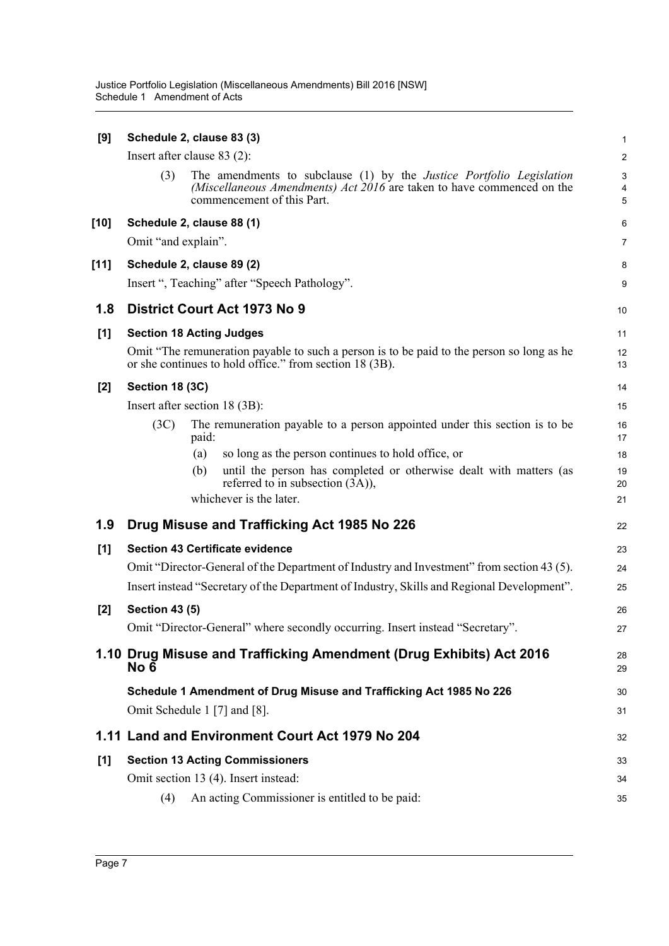| [9]    | Schedule 2, clause 83 (3)       |                                                                                                                                                                                     | 1                                                |
|--------|---------------------------------|-------------------------------------------------------------------------------------------------------------------------------------------------------------------------------------|--------------------------------------------------|
|        | Insert after clause $83(2)$ :   |                                                                                                                                                                                     | $\overline{c}$                                   |
|        | (3)                             | The amendments to subclause (1) by the <i>Justice Portfolio Legislation</i><br>(Miscellaneous Amendments) Act 2016 are taken to have commenced on the<br>commencement of this Part. | $\ensuremath{\mathsf{3}}$<br>4<br>$\overline{5}$ |
| $[10]$ | Schedule 2, clause 88 (1)       |                                                                                                                                                                                     | 6                                                |
|        | Omit "and explain".             |                                                                                                                                                                                     | $\overline{7}$                                   |
| $[11]$ | Schedule 2, clause 89 (2)       |                                                                                                                                                                                     | 8                                                |
|        |                                 | Insert ", Teaching" after "Speech Pathology".                                                                                                                                       | 9                                                |
| 1.8    |                                 | District Court Act 1973 No 9                                                                                                                                                        | 10                                               |
| [1]    | <b>Section 18 Acting Judges</b> |                                                                                                                                                                                     | 11                                               |
|        |                                 | Omit "The remuneration payable to such a person is to be paid to the person so long as he<br>or she continues to hold office." from section 18 (3B).                                | 12<br>13                                         |
| $[2]$  | Section 18 (3C)                 |                                                                                                                                                                                     | 14                                               |
|        | Insert after section 18 (3B):   |                                                                                                                                                                                     | 15                                               |
|        | (3C)                            | The remuneration payable to a person appointed under this section is to be<br>paid:                                                                                                 | 16<br>17                                         |
|        |                                 | so long as the person continues to hold office, or<br>(a)                                                                                                                           | 18                                               |
|        |                                 | until the person has completed or otherwise dealt with matters (as<br>(b)<br>referred to in subsection (3A)),                                                                       | 19<br>20                                         |
|        |                                 | whichever is the later.                                                                                                                                                             | 21                                               |
| 1.9    |                                 | Drug Misuse and Trafficking Act 1985 No 226                                                                                                                                         | 22                                               |
| [1]    |                                 | <b>Section 43 Certificate evidence</b>                                                                                                                                              | 23                                               |
|        |                                 | Omit "Director-General of the Department of Industry and Investment" from section 43 (5).                                                                                           | 24                                               |
|        |                                 | Insert instead "Secretary of the Department of Industry, Skills and Regional Development".                                                                                          | 25                                               |
| $[2]$  | <b>Section 43 (5)</b>           |                                                                                                                                                                                     | 26                                               |
|        |                                 | Omit "Director-General" where secondly occurring. Insert instead "Secretary".                                                                                                       | 27                                               |
|        | No 6                            | 1.10 Drug Misuse and Trafficking Amendment (Drug Exhibits) Act 2016                                                                                                                 | 28<br>29                                         |
|        |                                 | Schedule 1 Amendment of Drug Misuse and Trafficking Act 1985 No 226                                                                                                                 | 30                                               |
|        |                                 | Omit Schedule 1 [7] and [8].                                                                                                                                                        | 31                                               |
|        |                                 | 1.11 Land and Environment Court Act 1979 No 204                                                                                                                                     | 32                                               |
| [1]    |                                 | <b>Section 13 Acting Commissioners</b>                                                                                                                                              | 33                                               |
|        |                                 | Omit section 13 (4). Insert instead:                                                                                                                                                | 34                                               |
|        | (4)                             | An acting Commissioner is entitled to be paid:                                                                                                                                      | 35                                               |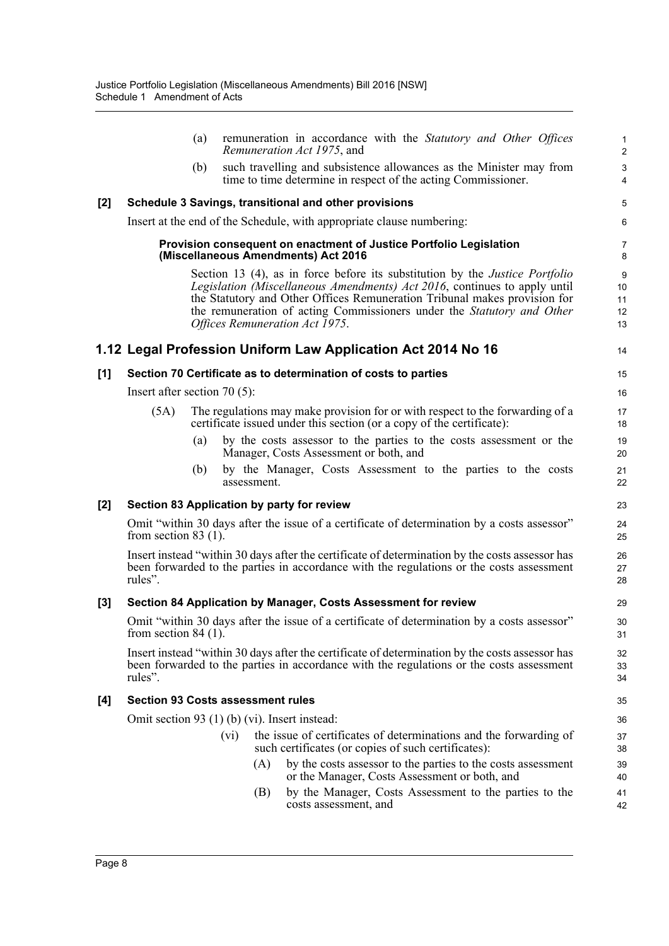|       | remuneration in accordance with the Statutory and Other Offices<br>(a)<br>Remuneration Act 1975, and                                                                                                                                                                                                                                                      | $\mathbf{1}$<br>$\overline{c}$ |
|-------|-----------------------------------------------------------------------------------------------------------------------------------------------------------------------------------------------------------------------------------------------------------------------------------------------------------------------------------------------------------|--------------------------------|
|       | such travelling and subsistence allowances as the Minister may from<br>(b)<br>time to time determine in respect of the acting Commissioner.                                                                                                                                                                                                               | $\mathsf 3$<br>$\overline{4}$  |
| $[2]$ | Schedule 3 Savings, transitional and other provisions                                                                                                                                                                                                                                                                                                     | 5                              |
|       | Insert at the end of the Schedule, with appropriate clause numbering:                                                                                                                                                                                                                                                                                     | 6                              |
|       | Provision consequent on enactment of Justice Portfolio Legislation<br>(Miscellaneous Amendments) Act 2016                                                                                                                                                                                                                                                 | $\overline{7}$<br>8            |
|       | Section 13 (4), as in force before its substitution by the <i>Justice Portfolio</i><br>Legislation (Miscellaneous Amendments) Act 2016, continues to apply until<br>the Statutory and Other Offices Remuneration Tribunal makes provision for<br>the remuneration of acting Commissioners under the Statutory and Other<br>Offices Remuneration Act 1975. | 9<br>10<br>11<br>12<br>13      |
|       | 1.12 Legal Profession Uniform Law Application Act 2014 No 16                                                                                                                                                                                                                                                                                              | 14                             |
| [1]   | Section 70 Certificate as to determination of costs to parties                                                                                                                                                                                                                                                                                            | 15                             |
|       | Insert after section 70 $(5)$ :                                                                                                                                                                                                                                                                                                                           | 16                             |
|       | The regulations may make provision for or with respect to the forwarding of a<br>(5A)<br>certificate issued under this section (or a copy of the certificate):                                                                                                                                                                                            | 17<br>18                       |
|       | by the costs assessor to the parties to the costs assessment or the<br>(a)<br>Manager, Costs Assessment or both, and                                                                                                                                                                                                                                      | 19<br>20                       |
|       | by the Manager, Costs Assessment to the parties to the costs<br>(b)<br>assessment.                                                                                                                                                                                                                                                                        | 21<br>22                       |
| $[2]$ | Section 83 Application by party for review                                                                                                                                                                                                                                                                                                                | 23                             |
|       | Omit "within 30 days after the issue of a certificate of determination by a costs assessor"<br>from section 83 $(1)$ .                                                                                                                                                                                                                                    | 24<br>25                       |
|       | Insert instead "within 30 days after the certificate of determination by the costs assessor has<br>been forwarded to the parties in accordance with the regulations or the costs assessment<br>rules".                                                                                                                                                    | 26<br>27<br>28                 |
| $[3]$ | Section 84 Application by Manager, Costs Assessment for review                                                                                                                                                                                                                                                                                            | 29                             |
|       | Omit "within 30 days after the issue of a certificate of determination by a costs assessor"<br>from section $84(1)$ .                                                                                                                                                                                                                                     | 30<br>31                       |
|       | Insert instead "within 30 days after the certificate of determination by the costs assessor has<br>been forwarded to the parties in accordance with the regulations or the costs assessment<br>rules".                                                                                                                                                    | 32<br>33<br>34                 |
| [4]   | <b>Section 93 Costs assessment rules</b>                                                                                                                                                                                                                                                                                                                  | 35                             |
|       | Omit section 93 (1) (b) (vi). Insert instead:                                                                                                                                                                                                                                                                                                             | 36                             |
|       | the issue of certificates of determinations and the forwarding of<br>(vi)<br>such certificates (or copies of such certificates):                                                                                                                                                                                                                          | 37<br>38                       |
|       | (A)<br>by the costs assessor to the parties to the costs assessment<br>or the Manager, Costs Assessment or both, and                                                                                                                                                                                                                                      | 39<br>40                       |
|       | by the Manager, Costs Assessment to the parties to the<br>(B)<br>costs assessment, and                                                                                                                                                                                                                                                                    | 41<br>42                       |
|       |                                                                                                                                                                                                                                                                                                                                                           |                                |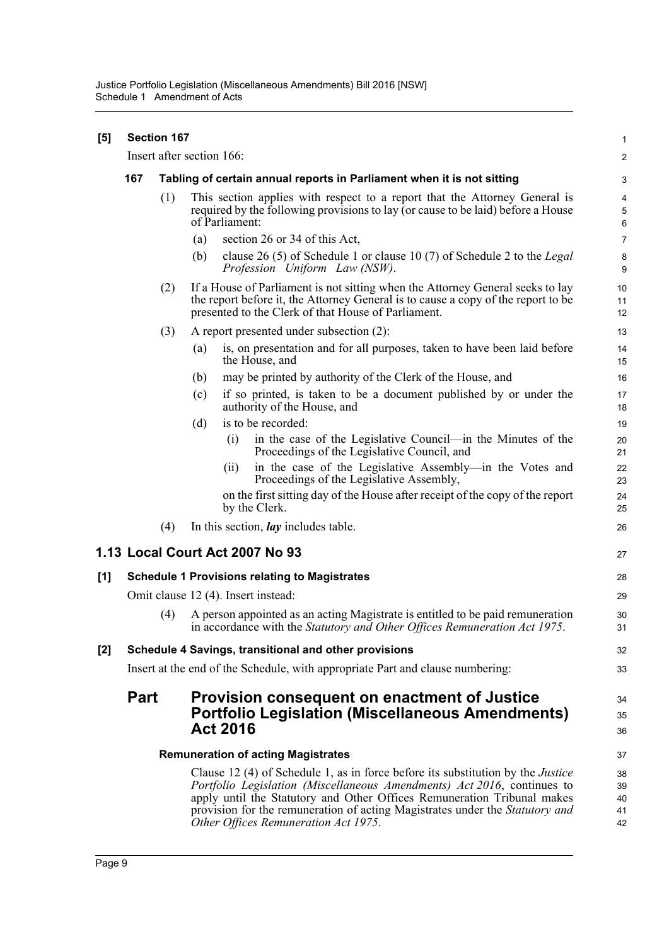| [5] |                                                                                                                                           | Section 167 |                                                                                                                                                                                                                            |                                                                                                                                                                                                                                                                                                                                                                      | $\mathbf{1}$               |  |  |
|-----|-------------------------------------------------------------------------------------------------------------------------------------------|-------------|----------------------------------------------------------------------------------------------------------------------------------------------------------------------------------------------------------------------------|----------------------------------------------------------------------------------------------------------------------------------------------------------------------------------------------------------------------------------------------------------------------------------------------------------------------------------------------------------------------|----------------------------|--|--|
|     |                                                                                                                                           |             | Insert after section 166:                                                                                                                                                                                                  |                                                                                                                                                                                                                                                                                                                                                                      | $\overline{c}$             |  |  |
|     | 167                                                                                                                                       |             | Tabling of certain annual reports in Parliament when it is not sitting                                                                                                                                                     |                                                                                                                                                                                                                                                                                                                                                                      |                            |  |  |
|     |                                                                                                                                           | (1)         |                                                                                                                                                                                                                            | This section applies with respect to a report that the Attorney General is<br>required by the following provisions to lay (or cause to be laid) before a House<br>of Parliament:                                                                                                                                                                                     | 4<br>$\overline{5}$<br>6   |  |  |
|     |                                                                                                                                           |             | (a)                                                                                                                                                                                                                        | section 26 or 34 of this Act,                                                                                                                                                                                                                                                                                                                                        | $\overline{7}$             |  |  |
|     |                                                                                                                                           |             | (b)                                                                                                                                                                                                                        | clause 26 (5) of Schedule 1 or clause 10 (7) of Schedule 2 to the Legal<br>Profession Uniform Law (NSW).                                                                                                                                                                                                                                                             | 8<br>9                     |  |  |
|     |                                                                                                                                           | (2)         | If a House of Parliament is not sitting when the Attorney General seeks to lay<br>the report before it, the Attorney General is to cause a copy of the report to be<br>presented to the Clerk of that House of Parliament. |                                                                                                                                                                                                                                                                                                                                                                      |                            |  |  |
|     |                                                                                                                                           | (3)         |                                                                                                                                                                                                                            | A report presented under subsection (2):                                                                                                                                                                                                                                                                                                                             | 13                         |  |  |
|     |                                                                                                                                           |             | (a)                                                                                                                                                                                                                        | is, on presentation and for all purposes, taken to have been laid before<br>the House, and                                                                                                                                                                                                                                                                           | 14<br>15                   |  |  |
|     |                                                                                                                                           |             | (b)                                                                                                                                                                                                                        | may be printed by authority of the Clerk of the House, and                                                                                                                                                                                                                                                                                                           | 16                         |  |  |
|     |                                                                                                                                           |             | (c)                                                                                                                                                                                                                        | if so printed, is taken to be a document published by or under the<br>authority of the House, and                                                                                                                                                                                                                                                                    | 17<br>18                   |  |  |
|     |                                                                                                                                           |             | (d)                                                                                                                                                                                                                        | is to be recorded:                                                                                                                                                                                                                                                                                                                                                   | 19                         |  |  |
|     |                                                                                                                                           |             |                                                                                                                                                                                                                            | in the case of the Legislative Council—in the Minutes of the<br>(i)<br>Proceedings of the Legislative Council, and                                                                                                                                                                                                                                                   | 20<br>21                   |  |  |
|     |                                                                                                                                           |             |                                                                                                                                                                                                                            | in the case of the Legislative Assembly—in the Votes and<br>(i)<br>Proceedings of the Legislative Assembly,                                                                                                                                                                                                                                                          | 22<br>23                   |  |  |
|     |                                                                                                                                           |             |                                                                                                                                                                                                                            | on the first sitting day of the House after receipt of the copy of the report<br>by the Clerk.                                                                                                                                                                                                                                                                       | 24<br>25                   |  |  |
|     |                                                                                                                                           | (4)         |                                                                                                                                                                                                                            | In this section, <i>lay</i> includes table.                                                                                                                                                                                                                                                                                                                          | 26                         |  |  |
|     |                                                                                                                                           |             |                                                                                                                                                                                                                            | 1.13 Local Court Act 2007 No 93                                                                                                                                                                                                                                                                                                                                      | 27                         |  |  |
| [1] | <b>Schedule 1 Provisions relating to Magistrates</b>                                                                                      |             |                                                                                                                                                                                                                            |                                                                                                                                                                                                                                                                                                                                                                      |                            |  |  |
|     |                                                                                                                                           |             |                                                                                                                                                                                                                            | Omit clause 12 (4). Insert instead:                                                                                                                                                                                                                                                                                                                                  | 29                         |  |  |
|     |                                                                                                                                           | (4)         |                                                                                                                                                                                                                            | A person appointed as an acting Magistrate is entitled to be paid remuneration<br>in accordance with the Statutory and Other Offices Remuneration Act 1975.                                                                                                                                                                                                          | 30<br>31                   |  |  |
| [2] |                                                                                                                                           |             |                                                                                                                                                                                                                            | Schedule 4 Savings, transitional and other provisions                                                                                                                                                                                                                                                                                                                | 32                         |  |  |
|     |                                                                                                                                           |             |                                                                                                                                                                                                                            | Insert at the end of the Schedule, with appropriate Part and clause numbering:                                                                                                                                                                                                                                                                                       | 33                         |  |  |
|     | <b>Part</b><br>Provision consequent on enactment of Justice<br><b>Portfolio Legislation (Miscellaneous Amendments)</b><br><b>Act 2016</b> |             |                                                                                                                                                                                                                            |                                                                                                                                                                                                                                                                                                                                                                      |                            |  |  |
|     |                                                                                                                                           |             |                                                                                                                                                                                                                            | <b>Remuneration of acting Magistrates</b>                                                                                                                                                                                                                                                                                                                            | 37                         |  |  |
|     |                                                                                                                                           |             |                                                                                                                                                                                                                            | Clause 12 (4) of Schedule 1, as in force before its substitution by the <i>Justice</i><br>Portfolio Legislation (Miscellaneous Amendments) Act 2016, continues to<br>apply until the Statutory and Other Offices Remuneration Tribunal makes<br>provision for the remuneration of acting Magistrates under the Statutory and<br>Other Offices Remuneration Act 1975. | 38<br>39<br>40<br>41<br>42 |  |  |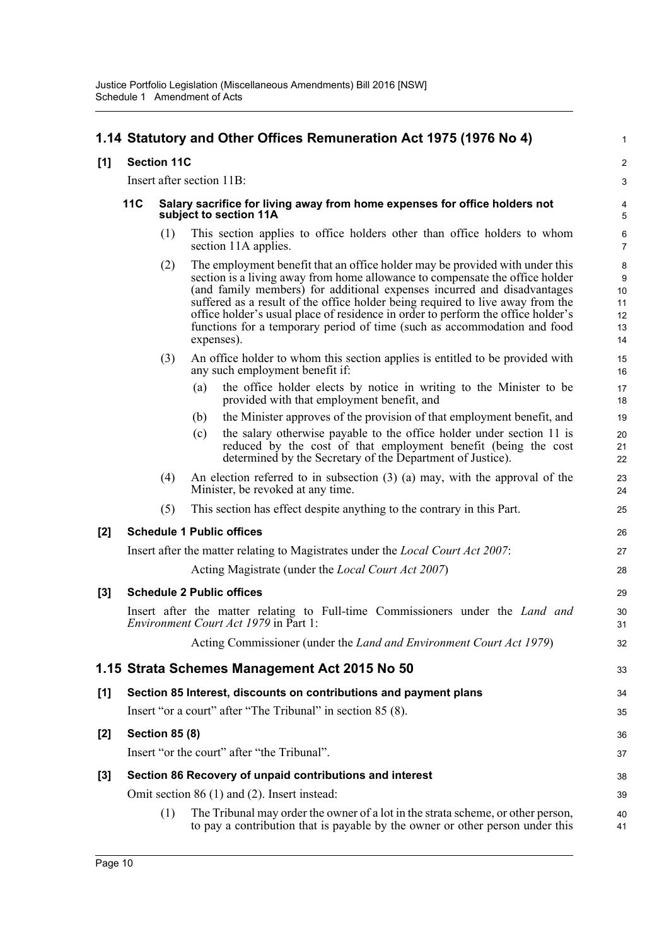## **1.14 Statutory and Other Offices Remuneration Act 1975 (1976 No 4)**

#### **[1] Section 11C**

Insert after section 11B:

#### **11C Salary sacrifice for living away from home expenses for office holders not subject to section 11A**

(1) This section applies to office holders other than office holders to whom section 11A applies.

1

 $\mathfrak{p}$ 3

33

38 39

- (2) The employment benefit that an office holder may be provided with under this section is a living away from home allowance to compensate the office holder (and family members) for additional expenses incurred and disadvantages suffered as a result of the office holder being required to live away from the office holder's usual place of residence in order to perform the office holder's functions for a temporary period of time (such as accommodation and food expenses).
- (3) An office holder to whom this section applies is entitled to be provided with any such employment benefit if:
	- (a) the office holder elects by notice in writing to the Minister to be provided with that employment benefit, and
	- (b) the Minister approves of the provision of that employment benefit, and
	- (c) the salary otherwise payable to the office holder under section 11 is reduced by the cost of that employment benefit (being the cost determined by the Secretary of the Department of Justice).
- (4) An election referred to in subsection (3) (a) may, with the approval of the Minister, be revoked at any time.
- (5) This section has effect despite anything to the contrary in this Part.

#### **[2] Schedule 1 Public offices**

| Insert after the matter relating to Magistrates under the <i>Local Court Act 2007</i> : |  |
|-----------------------------------------------------------------------------------------|--|
| Acting Magistrate (under the <i>Local Court Act 2007</i> )                              |  |

### **[3] Schedule 2 Public offices**

|  |  |                                              |  | Insert after the matter relating to Full-time Commissioners under the Land and |  |  |
|--|--|----------------------------------------------|--|--------------------------------------------------------------------------------|--|--|
|  |  | <i>Environment Court Act 1979</i> in Part 1: |  |                                                                                |  |  |
|  |  |                                              |  | Acting Commissioner (under the <i>Land and Environment Court Act 1979</i> )    |  |  |

### **1.15 Strata Schemes Management Act 2015 No 50**

**[1] Section 85 Interest, discounts on contributions and payment plans** Insert "or a court" after "The Tribunal" in section 85 (8). **[2] Section 85 (8)**

Insert "or the court" after "the Tribunal".

### **[3] Section 86 Recovery of unpaid contributions and interest**

Omit section 86 (1) and (2). Insert instead:

(1) The Tribunal may order the owner of a lot in the strata scheme, or other person, to pay a contribution that is payable by the owner or other person under this  $40$ 41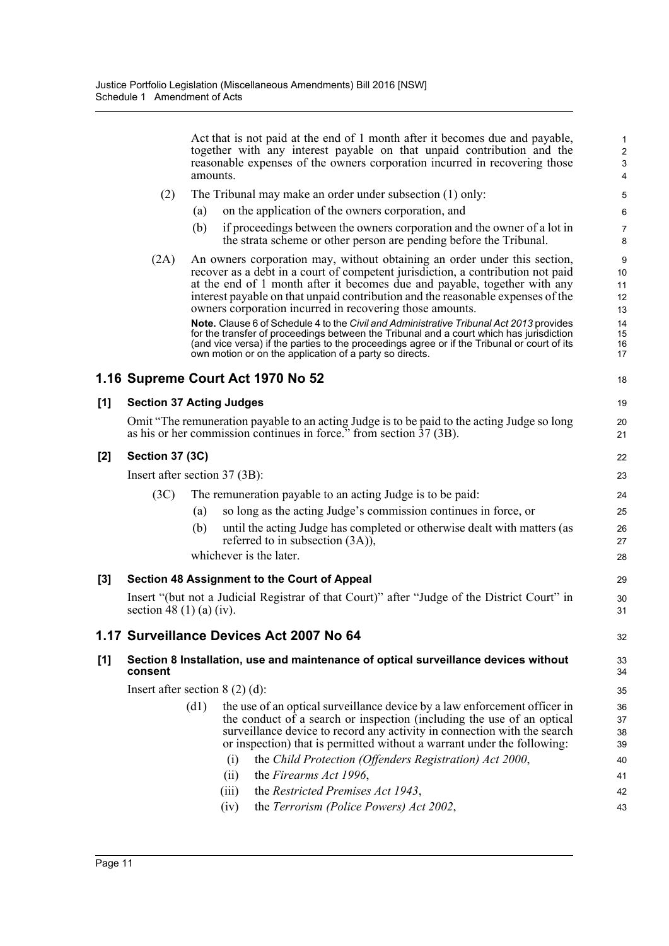|     |                          | Act that is not paid at the end of 1 month after it becomes due and payable,<br>together with any interest payable on that unpaid contribution and the<br>reasonable expenses of the owners corporation incurred in recovering those<br>amounts.                                                                                                                                                                                                                                                                                                                                                                                                                                                                                         | $\mathbf{1}$<br>$\overline{\mathbf{c}}$<br>3<br>4 |
|-----|--------------------------|------------------------------------------------------------------------------------------------------------------------------------------------------------------------------------------------------------------------------------------------------------------------------------------------------------------------------------------------------------------------------------------------------------------------------------------------------------------------------------------------------------------------------------------------------------------------------------------------------------------------------------------------------------------------------------------------------------------------------------------|---------------------------------------------------|
|     | (2)                      | The Tribunal may make an order under subsection (1) only:                                                                                                                                                                                                                                                                                                                                                                                                                                                                                                                                                                                                                                                                                | 5                                                 |
|     |                          | on the application of the owners corporation, and<br>(a)                                                                                                                                                                                                                                                                                                                                                                                                                                                                                                                                                                                                                                                                                 | 6                                                 |
|     |                          | if proceedings between the owners corporation and the owner of a lot in<br>(b)<br>the strata scheme or other person are pending before the Tribunal.                                                                                                                                                                                                                                                                                                                                                                                                                                                                                                                                                                                     | 7<br>8                                            |
|     | (2A)                     | An owners corporation may, without obtaining an order under this section,<br>recover as a debt in a court of competent jurisdiction, a contribution not paid<br>at the end of 1 month after it becomes due and payable, together with any<br>interest payable on that unpaid contribution and the reasonable expenses of the<br>owners corporation incurred in recovering those amounts.<br>Note. Clause 6 of Schedule 4 to the Civil and Administrative Tribunal Act 2013 provides<br>for the transfer of proceedings between the Tribunal and a court which has jurisdiction<br>(and vice versa) if the parties to the proceedings agree or if the Tribunal or court of its<br>own motion or on the application of a party so directs. | 9<br>10<br>11<br>12<br>13<br>14<br>15<br>16<br>17 |
|     |                          | 1.16 Supreme Court Act 1970 No 52                                                                                                                                                                                                                                                                                                                                                                                                                                                                                                                                                                                                                                                                                                        | 18                                                |
| [1] |                          | <b>Section 37 Acting Judges</b>                                                                                                                                                                                                                                                                                                                                                                                                                                                                                                                                                                                                                                                                                                          | 19                                                |
|     |                          | Omit "The remuneration payable to an acting Judge is to be paid to the acting Judge so long<br>as his or her commission continues in force." from section 37 (3B).                                                                                                                                                                                                                                                                                                                                                                                                                                                                                                                                                                       | 20<br>21                                          |
| [2] | <b>Section 37 (3C)</b>   |                                                                                                                                                                                                                                                                                                                                                                                                                                                                                                                                                                                                                                                                                                                                          | 22                                                |
|     |                          | Insert after section 37 (3B):                                                                                                                                                                                                                                                                                                                                                                                                                                                                                                                                                                                                                                                                                                            | 23                                                |
|     | (3C)                     | The remuneration payable to an acting Judge is to be paid:                                                                                                                                                                                                                                                                                                                                                                                                                                                                                                                                                                                                                                                                               | 24                                                |
|     |                          | so long as the acting Judge's commission continues in force, or<br>(a)                                                                                                                                                                                                                                                                                                                                                                                                                                                                                                                                                                                                                                                                   | 25                                                |
|     |                          | until the acting Judge has completed or otherwise dealt with matters (as<br>(b)<br>referred to in subsection $(3A)$ ),                                                                                                                                                                                                                                                                                                                                                                                                                                                                                                                                                                                                                   | 26<br>27                                          |
|     |                          | whichever is the later.                                                                                                                                                                                                                                                                                                                                                                                                                                                                                                                                                                                                                                                                                                                  | 28                                                |
| [3] |                          | Section 48 Assignment to the Court of Appeal                                                                                                                                                                                                                                                                                                                                                                                                                                                                                                                                                                                                                                                                                             | 29                                                |
|     | section 48 (1) (a) (iv). | Insert "(but not a Judicial Registrar of that Court)" after "Judge of the District Court" in                                                                                                                                                                                                                                                                                                                                                                                                                                                                                                                                                                                                                                             | 30<br>31                                          |
|     |                          | 1.17 Surveillance Devices Act 2007 No 64                                                                                                                                                                                                                                                                                                                                                                                                                                                                                                                                                                                                                                                                                                 | 32                                                |
| [1] | consent                  | Section 8 Installation, use and maintenance of optical surveillance devices without                                                                                                                                                                                                                                                                                                                                                                                                                                                                                                                                                                                                                                                      | 33<br>34                                          |
|     |                          | Insert after section $8(2)(d)$ :                                                                                                                                                                                                                                                                                                                                                                                                                                                                                                                                                                                                                                                                                                         | 35                                                |
|     |                          | the use of an optical surveillance device by a law enforcement officer in<br>(d1)<br>the conduct of a search or inspection (including the use of an optical<br>surveillance device to record any activity in connection with the search<br>or inspection) that is permitted without a warrant under the following:<br>the Child Protection (Offenders Registration) Act 2000,<br>(i)<br>the Firearms Act 1996,<br>(ii)<br>the Restricted Premises Act 1943,<br>(iii)                                                                                                                                                                                                                                                                     | 36<br>37<br>38<br>39<br>40<br>41<br>42            |
|     |                          | the Terrorism (Police Powers) Act 2002,<br>(iv)                                                                                                                                                                                                                                                                                                                                                                                                                                                                                                                                                                                                                                                                                          | 43                                                |